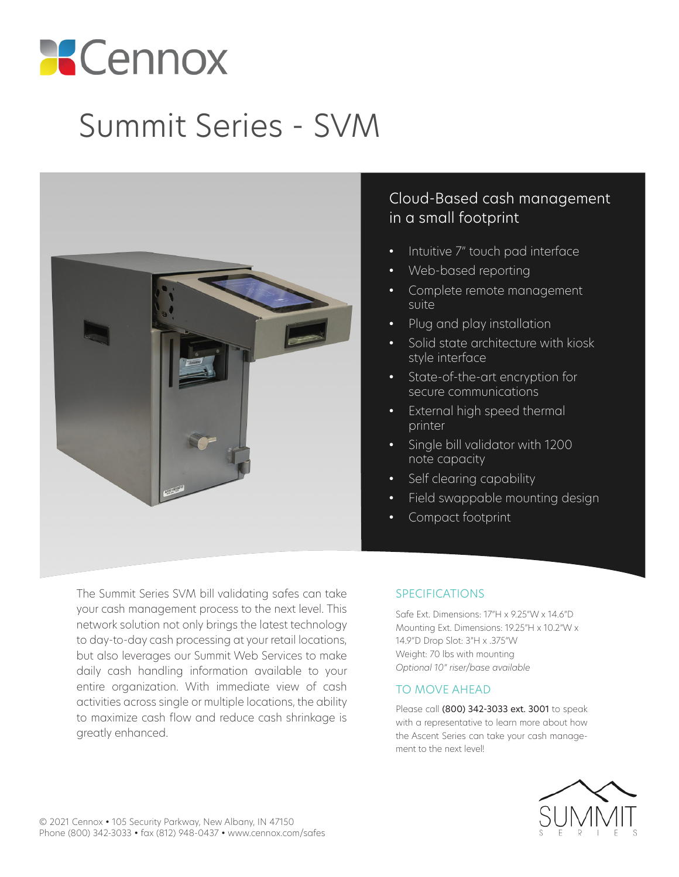# **Cennox**

## Summit Series - SVM



#### Cloud-Based cash management in a small footprint

- Intuitive 7" touch pad interface
- Web-based reporting
- Complete remote management suite
- Plug and play installation
- Solid state architecture with kiosk style interface
- State-of-the-art encryption for secure communications
- External high speed thermal printer
- Single bill validator with 1200 note capacity
- Self clearing capability
- Field swappable mounting design
- Compact footprint

The Summit Series SVM bill validating safes can take your cash management process to the next level. This network solution not only brings the latest technology to day-to-day cash processing at your retail locations, but also leverages our Summit Web Services to make daily cash handling information available to your entire organization. With immediate view of cash activities across single or multiple locations, the ability to maximize cash flow and reduce cash shrinkage is greatly enhanced.

#### SPECIFICATIONS

Safe Ext. Dimensions: 17"H x 9.25"W x 14.6"D Mounting Ext. Dimensions: 19.25"H x 10.2"W x 14.9"D Drop Slot: 3"H x .375"W Weight: 70 lbs with mounting *Optional 10" riser/base available*

#### TO MOVE AHEAD

Please call (800) 342-3033 ext. 3001 to speak with a representative to learn more about how the Ascent Series can take your cash management to the next level!